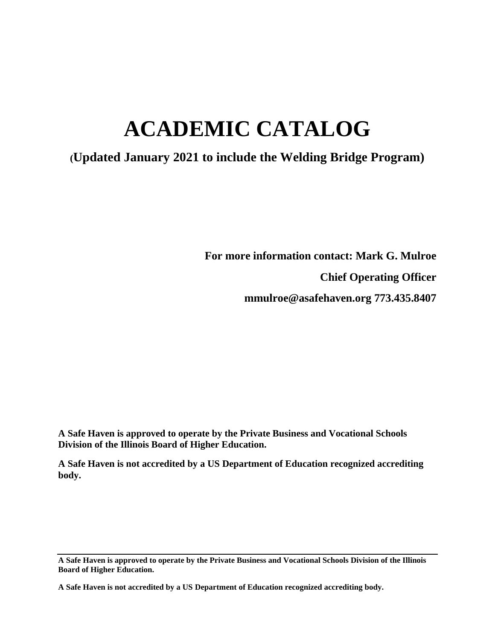# **ACADEMIC CATALOG**

# **(Updated January 2021 to include the Welding Bridge Program)**

**For more information contact: Mark G. Mulroe Chief Operating Officer mmulroe@asafehaven.org 773.435.8407**

**A Safe Haven is approved to operate by the Private Business and Vocational Schools Division of the Illinois Board of Higher Education.** 

**A Safe Haven is not accredited by a US Department of Education recognized accrediting body.**

**A Safe Haven is approved to operate by the Private Business and Vocational Schools Division of the Illinois Board of Higher Education.**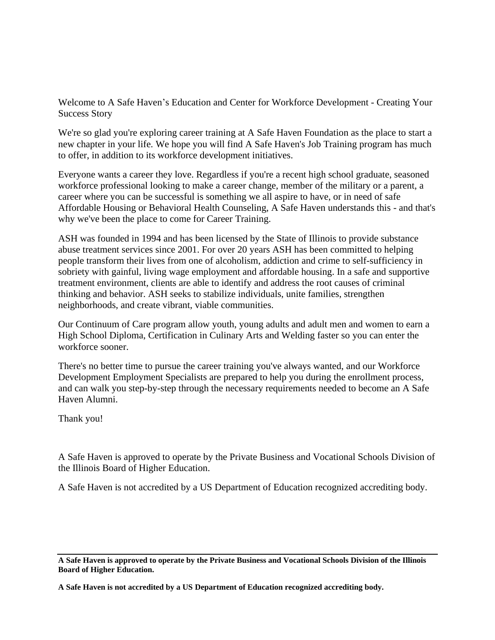Welcome to A Safe Haven's Education and Center for Workforce Development - Creating Your Success Story

We're so glad you're exploring career training at A Safe Haven Foundation as the place to start a new chapter in your life. We hope you will find A Safe Haven's Job Training program has much to offer, in addition to its workforce development initiatives.

Everyone wants a career they love. Regardless if you're a recent high school graduate, seasoned workforce professional looking to make a career change, member of the military or a parent, a career where you can be successful is something we all aspire to have, or in need of safe Affordable Housing or Behavioral Health Counseling, A Safe Haven understands this - and that's why we've been the place to come for Career Training.

ASH was founded in 1994 and has been licensed by the State of Illinois to provide substance abuse treatment services since 2001. For over 20 years ASH has been committed to helping people transform their lives from one of alcoholism, addiction and crime to self-sufficiency in sobriety with gainful, living wage employment and affordable housing. In a safe and supportive treatment environment, clients are able to identify and address the root causes of criminal thinking and behavior. ASH seeks to stabilize individuals, unite families, strengthen neighborhoods, and create vibrant, viable communities.

Our Continuum of Care program allow youth, young adults and adult men and women to earn a High School Diploma, Certification in Culinary Arts and Welding faster so you can enter the workforce sooner.

There's no better time to pursue the career training you've always wanted, and our Workforce Development Employment Specialists are prepared to help you during the enrollment process, and can walk you step-by-step through the necessary requirements needed to become an A Safe Haven Alumni.

Thank you!

A Safe Haven is approved to operate by the Private Business and Vocational Schools Division of the Illinois Board of Higher Education.

A Safe Haven is not accredited by a US Department of Education recognized accrediting body.

**A Safe Haven is approved to operate by the Private Business and Vocational Schools Division of the Illinois Board of Higher Education.**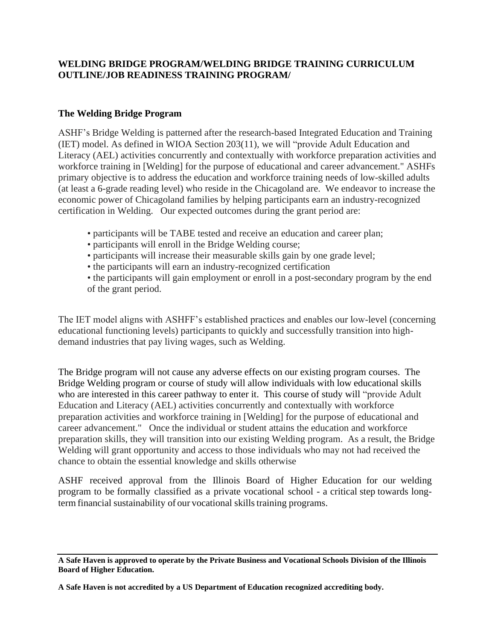# **WELDING BRIDGE PROGRAM/WELDING BRIDGE TRAINING CURRICULUM OUTLINE/JOB READINESS TRAINING PROGRAM/**

# **The Welding Bridge Program**

ASHF's Bridge Welding is patterned after the research-based Integrated Education and Training (IET) model. As defined in WIOA Section 203(11), we will "provide Adult Education and Literacy (AEL) activities concurrently and contextually with workforce preparation activities and workforce training in [Welding] for the purpose of educational and career advancement." ASHFs primary objective is to address the education and workforce training needs of low-skilled adults (at least a 6-grade reading level) who reside in the Chicagoland are. We endeavor to increase the economic power of Chicagoland families by helping participants earn an industry-recognized certification in Welding. Our expected outcomes during the grant period are:

- participants will be TABE tested and receive an education and career plan;
- participants will enroll in the Bridge Welding course;
- participants will increase their measurable skills gain by one grade level;
- the participants will earn an industry-recognized certification
- the participants will gain employment or enroll in a post-secondary program by the end of the grant period.

The IET model aligns with ASHFF's established practices and enables our low-level (concerning educational functioning levels) participants to quickly and successfully transition into highdemand industries that pay living wages, such as Welding.

The Bridge program will not cause any adverse effects on our existing program courses. The Bridge Welding program or course of study will allow individuals with low educational skills who are interested in this career pathway to enter it. This course of study will "provide Adult Education and Literacy (AEL) activities concurrently and contextually with workforce preparation activities and workforce training in [Welding] for the purpose of educational and career advancement." Once the individual or student attains the education and workforce preparation skills, they will transition into our existing Welding program. As a result, the Bridge Welding will grant opportunity and access to those individuals who may not had received the chance to obtain the essential knowledge and skills otherwise

ASHF received approval from the Illinois Board of Higher Education for our welding program to be formally classified as a private vocational school - a critical step towards longterm financial sustainability of our vocational skills training programs.

**A Safe Haven is approved to operate by the Private Business and Vocational Schools Division of the Illinois Board of Higher Education.**

**A Safe Haven is not accredited by a US Department of Education recognized accrediting body.**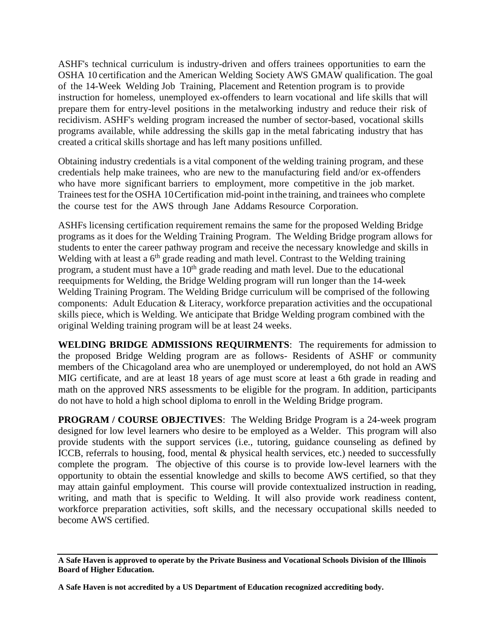ASHF's technical curriculum is industry-driven and offers trainees opportunities to earn the OSHA 10 certification and the American Welding Society AWS GMAW qualification. The goal of the 14-Week Welding Job Training, Placement and Retention program is to provide instruction for homeless, unemployed ex-offenders to learn vocational and life skills that will prepare them for entry-level positions in the metalworking industry and reduce their risk of recidivism. ASHF's welding program increased the number of sector-based, vocational skills programs available, while addressing the skills gap in the metal fabricating industry that has created a critical skills shortage and has left many positions unfilled.

Obtaining industry credentials is a vital component of the welding training program, and these credentials help make trainees, who are new to the manufacturing field and/or ex-offenders who have more significant barriers to employment, more competitive in the job market. Trainees testfor the OSHA 10Certification mid-point inthe training, and trainees who complete the course test for the AWS through Jane Addams Resource Corporation.

ASHFs licensing certification requirement remains the same for the proposed Welding Bridge programs as it does for the Welding Training Program. The Welding Bridge program allows for students to enter the career pathway program and receive the necessary knowledge and skills in Welding with at least a  $6<sup>th</sup>$  grade reading and math level. Contrast to the Welding training program, a student must have a  $10<sup>th</sup>$  grade reading and math level. Due to the educational reequipments for Welding, the Bridge Welding program will run longer than the 14-week Welding Training Program. The Welding Bridge curriculum will be comprised of the following components: Adult Education & Literacy, workforce preparation activities and the occupational skills piece, which is Welding. We anticipate that Bridge Welding program combined with the original Welding training program will be at least 24 weeks.

**WELDING BRIDGE ADMISSIONS REQUIRMENTS**: The requirements for admission to the proposed Bridge Welding program are as follows- Residents of ASHF or community members of the Chicagoland area who are unemployed or underemployed, do not hold an AWS MIG certificate, and are at least 18 years of age must score at least a 6th grade in reading and math on the approved NRS assessments to be eligible for the program. In addition, participants do not have to hold a high school diploma to enroll in the Welding Bridge program.

**PROGRAM / COURSE OBJECTIVES**: The Welding Bridge Program is a 24-week program designed for low level learners who desire to be employed as a Welder. This program will also provide students with the support services (i.e., tutoring, guidance counseling as defined by ICCB, referrals to housing, food, mental & physical health services, etc.) needed to successfully complete the program. The objective of this course is to provide low-level learners with the opportunity to obtain the essential knowledge and skills to become AWS certified, so that they may attain gainful employment. This course will provide contextualized instruction in reading, writing, and math that is specific to Welding. It will also provide work readiness content, workforce preparation activities, soft skills, and the necessary occupational skills needed to become AWS certified.

**A Safe Haven is approved to operate by the Private Business and Vocational Schools Division of the Illinois Board of Higher Education.**

**A Safe Haven is not accredited by a US Department of Education recognized accrediting body.**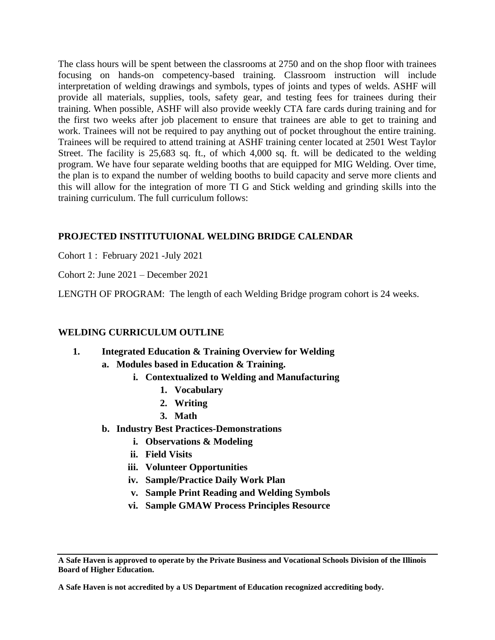The class hours will be spent between the classrooms at 2750 and on the shop floor with trainees focusing on hands-on competency-based training. Classroom instruction will include interpretation of welding drawings and symbols, types of joints and types of welds. ASHF will provide all materials, supplies, tools, safety gear, and testing fees for trainees during their training. When possible, ASHF will also provide weekly CTA fare cards during training and for the first two weeks after job placement to ensure that trainees are able to get to training and work. Trainees will not be required to pay anything out of pocket throughout the entire training. Trainees will be required to attend training at ASHF training center located at 2501 West Taylor Street. The facility is 25,683 sq. ft., of which 4,000 sq. ft. will be dedicated to the welding program. We have four separate welding booths that are equipped for MIG Welding. Over time, the plan is to expand the number of welding booths to build capacity and serve more clients and this will allow for the integration of more TI G and Stick welding and grinding skills into the training curriculum. The full curriculum follows:

# **PROJECTED INSTITUTUIONAL WELDING BRIDGE CALENDAR**

Cohort 1 : February 2021 -July 2021

Cohort 2: June 2021 – December 2021

LENGTH OF PROGRAM: The length of each Welding Bridge program cohort is 24 weeks.

# **WELDING CURRICULUM OUTLINE**

- **1. Integrated Education & Training Overview for Welding**
	- **a. Modules based in Education & Training.**
		- **i. Contextualized to Welding and Manufacturing**
			- **1. Vocabulary**
			- **2. Writing**
			- **3. Math**
	- **b. Industry Best Practices-Demonstrations**
		- **i. Observations & Modeling**
		- **ii. Field Visits**
		- **iii. Volunteer Opportunities**
		- **iv. Sample/Practice Daily Work Plan**
		- **v. Sample Print Reading and Welding Symbols**
		- **vi. Sample GMAW Process Principles Resource**

**A Safe Haven is approved to operate by the Private Business and Vocational Schools Division of the Illinois Board of Higher Education.**

**A Safe Haven is not accredited by a US Department of Education recognized accrediting body.**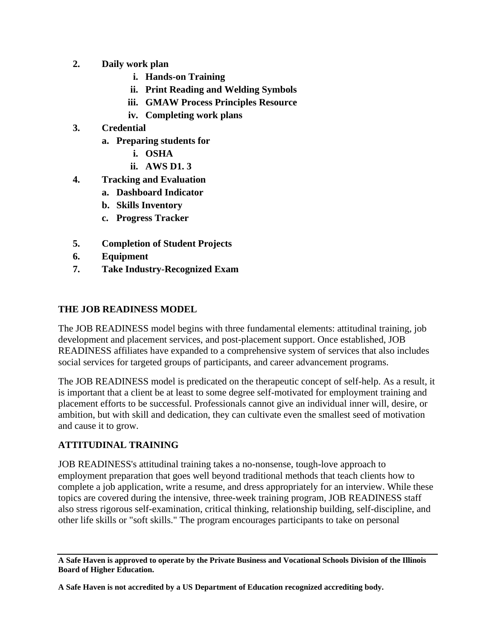- **2. Daily work plan**
	- **i. Hands-on Training**
	- **ii. Print Reading and Welding Symbols**
	- **iii. GMAW Process Principles Resource**
	- **iv. Completing work plans**
- **3. Credential**
	- **a. Preparing students for** 
		- **i. OSHA**
		- **ii. AWS D1. 3**
- **4. Tracking and Evaluation**
	- **a. Dashboard Indicator**
	- **b. Skills Inventory**
	- **c. Progress Tracker**
- **5. Completion of Student Projects**
- **6. Equipment**
- **7. Take Industry-Recognized Exam**

# **THE JOB READINESS MODEL**

The JOB READINESS model begins with three fundamental elements: attitudinal training, job development and placement services, and post-placement support. Once established, JOB READINESS affiliates have expanded to a comprehensive system of services that also includes social services for targeted groups of participants, and career advancement programs.

The JOB READINESS model is predicated on the therapeutic concept of self-help. As a result, it is important that a client be at least to some degree self-motivated for employment training and placement efforts to be successful. Professionals cannot give an individual inner will, desire, or ambition, but with skill and dedication, they can cultivate even the smallest seed of motivation and cause it to grow.

# **ATTITUDINAL TRAINING**

JOB READINESS's attitudinal training takes a no-nonsense, tough-love approach to employment preparation that goes well beyond traditional methods that teach clients how to complete a job application, write a resume, and dress appropriately for an interview. While these topics are covered during the intensive, three-week training program, JOB READINESS staff also stress rigorous self-examination, critical thinking, relationship building, self-discipline, and other life skills or "soft skills." The program encourages participants to take on personal

**A Safe Haven is approved to operate by the Private Business and Vocational Schools Division of the Illinois Board of Higher Education.**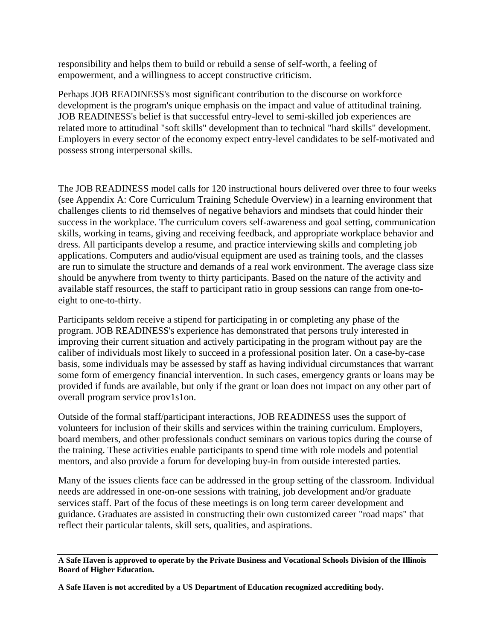responsibility and helps them to build or rebuild a sense of self-worth, a feeling of empowerment, and a willingness to accept constructive criticism.

Perhaps JOB READINESS's most significant contribution to the discourse on workforce development is the program's unique emphasis on the impact and value of attitudinal training. JOB READINESS's belief is that successful entry-level to semi-skilled job experiences are related more to attitudinal "soft skills" development than to technical "hard skills" development. Employers in every sector of the economy expect entry-level candidates to be self-motivated and possess strong interpersonal skills.

The JOB READINESS model calls for 120 instructional hours delivered over three to four weeks (see Appendix A: Core Curriculum Training Schedule Overview) in a learning environment that challenges clients to rid themselves of negative behaviors and mindsets that could hinder their success in the workplace. The curriculum covers self-awareness and goal setting, communication skills, working in teams, giving and receiving feedback, and appropriate workplace behavior and dress. All participants develop a resume, and practice interviewing skills and completing job applications. Computers and audio/visual equipment are used as training tools, and the classes are run to simulate the structure and demands of a real work environment. The average class size should be anywhere from twenty to thirty participants. Based on the nature of the activity and available staff resources, the staff to participant ratio in group sessions can range from one-toeight to one-to-thirty.

Participants seldom receive a stipend for participating in or completing any phase of the program. JOB READINESS's experience has demonstrated that persons truly interested in improving their current situation and actively participating in the program without pay are the caliber of individuals most likely to succeed in a professional position later. On a case-by-case basis, some individuals may be assessed by staff as having individual circumstances that warrant some form of emergency financial intervention. In such cases, emergency grants or loans may be provided if funds are available, but only if the grant or loan does not impact on any other part of overall program service prov1s1on.

Outside of the formal staff/participant interactions, JOB READINESS uses the support of volunteers for inclusion of their skills and services within the training curriculum. Employers, board members, and other professionals conduct seminars on various topics during the course of the training. These activities enable participants to spend time with role models and potential mentors, and also provide a forum for developing buy-in from outside interested parties.

Many of the issues clients face can be addressed in the group setting of the classroom. Individual needs are addressed in one-on-one sessions with training, job development and/or graduate services staff. Part of the focus of these meetings is on long term career development and guidance. Graduates are assisted in constructing their own customized career "road maps" that reflect their particular talents, skill sets, qualities, and aspirations.

**A Safe Haven is approved to operate by the Private Business and Vocational Schools Division of the Illinois Board of Higher Education.**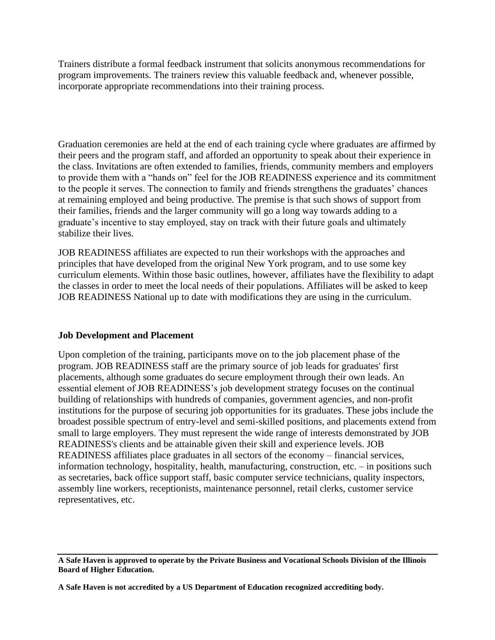Trainers distribute a formal feedback instrument that solicits anonymous recommendations for program improvements. The trainers review this valuable feedback and, whenever possible, incorporate appropriate recommendations into their training process.

Graduation ceremonies are held at the end of each training cycle where graduates are affirmed by their peers and the program staff, and afforded an opportunity to speak about their experience in the class. Invitations are often extended to families, friends, community members and employers to provide them with a "hands on" feel for the JOB READINESS experience and its commitment to the people it serves. The connection to family and friends strengthens the graduates' chances at remaining employed and being productive. The premise is that such shows of support from their families, friends and the larger community will go a long way towards adding to a graduate's incentive to stay employed, stay on track with their future goals and ultimately stabilize their lives.

JOB READINESS affiliates are expected to run their workshops with the approaches and principles that have developed from the original New York program, and to use some key curriculum elements. Within those basic outlines, however, affiliates have the flexibility to adapt the classes in order to meet the local needs of their populations. Affiliates will be asked to keep JOB READINESS National up to date with modifications they are using in the curriculum.

# **Job Development and Placement**

Upon completion of the training, participants move on to the job placement phase of the program. JOB READINESS staff are the primary source of job leads for graduates' first placements, although some graduates do secure employment through their own leads. An essential element of JOB READINESS's job development strategy focuses on the continual building of relationships with hundreds of companies, government agencies, and non-profit institutions for the purpose of securing job opportunities for its graduates. These jobs include the broadest possible spectrum of entry-level and semi-skilled positions, and placements extend from small to large employers. They must represent the wide range of interests demonstrated by JOB READINESS's clients and be attainable given their skill and experience levels. JOB READINESS affiliates place graduates in all sectors of the economy – financial services, information technology, hospitality, health, manufacturing, construction, etc. – in positions such as secretaries, back office support staff, basic computer service technicians, quality inspectors, assembly line workers, receptionists, maintenance personnel, retail clerks, customer service representatives, etc.

**A Safe Haven is approved to operate by the Private Business and Vocational Schools Division of the Illinois Board of Higher Education.**

**A Safe Haven is not accredited by a US Department of Education recognized accrediting body.**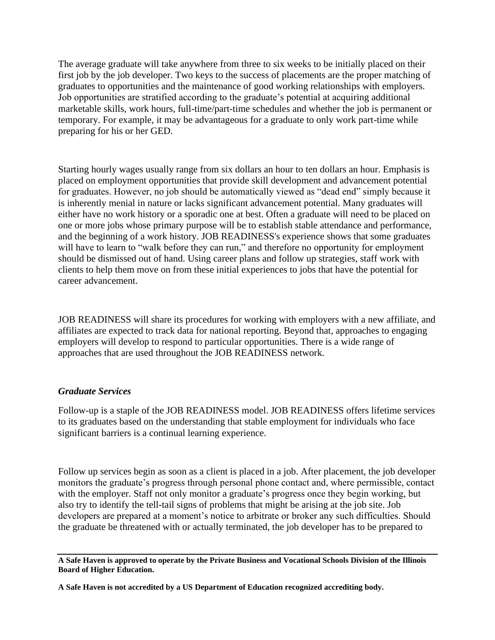The average graduate will take anywhere from three to six weeks to be initially placed on their first job by the job developer. Two keys to the success of placements are the proper matching of graduates to opportunities and the maintenance of good working relationships with employers. Job opportunities are stratified according to the graduate's potential at acquiring additional marketable skills, work hours, full-time/part-time schedules and whether the job is permanent or temporary. For example, it may be advantageous for a graduate to only work part-time while preparing for his or her GED.

Starting hourly wages usually range from six dollars an hour to ten dollars an hour. Emphasis is placed on employment opportunities that provide skill development and advancement potential for graduates. However, no job should be automatically viewed as "dead end" simply because it is inherently menial in nature or lacks significant advancement potential. Many graduates will either have no work history or a sporadic one at best. Often a graduate will need to be placed on one or more jobs whose primary purpose will be to establish stable attendance and performance, and the beginning of a work history. JOB READINESS's experience shows that some graduates will have to learn to "walk before they can run," and therefore no opportunity for employment should be dismissed out of hand. Using career plans and follow up strategies, staff work with clients to help them move on from these initial experiences to jobs that have the potential for career advancement.

JOB READINESS will share its procedures for working with employers with a new affiliate, and affiliates are expected to track data for national reporting. Beyond that, approaches to engaging employers will develop to respond to particular opportunities. There is a wide range of approaches that are used throughout the JOB READINESS network.

#### *Graduate Services*

Follow-up is a staple of the JOB READINESS model. JOB READINESS offers lifetime services to its graduates based on the understanding that stable employment for individuals who face significant barriers is a continual learning experience.

Follow up services begin as soon as a client is placed in a job. After placement, the job developer monitors the graduate's progress through personal phone contact and, where permissible, contact with the employer. Staff not only monitor a graduate's progress once they begin working, but also try to identify the tell-tail signs of problems that might be arising at the job site. Job developers are prepared at a moment's notice to arbitrate or broker any such difficulties. Should the graduate be threatened with or actually terminated, the job developer has to be prepared to

**A Safe Haven is approved to operate by the Private Business and Vocational Schools Division of the Illinois Board of Higher Education.**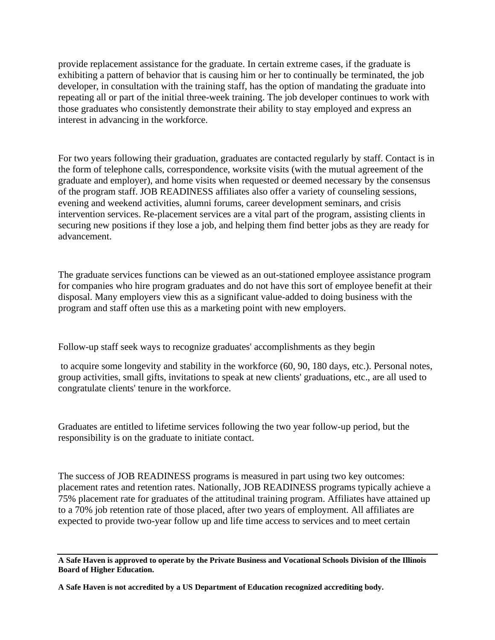provide replacement assistance for the graduate. In certain extreme cases, if the graduate is exhibiting a pattern of behavior that is causing him or her to continually be terminated, the job developer, in consultation with the training staff, has the option of mandating the graduate into repeating all or part of the initial three-week training. The job developer continues to work with those graduates who consistently demonstrate their ability to stay employed and express an interest in advancing in the workforce.

For two years following their graduation, graduates are contacted regularly by staff. Contact is in the form of telephone calls, correspondence, worksite visits (with the mutual agreement of the graduate and employer), and home visits when requested or deemed necessary by the consensus of the program staff. JOB READINESS affiliates also offer a variety of counseling sessions, evening and weekend activities, alumni forums, career development seminars, and crisis intervention services. Re-placement services are a vital part of the program, assisting clients in securing new positions if they lose a job, and helping them find better jobs as they are ready for advancement.

The graduate services functions can be viewed as an out-stationed employee assistance program for companies who hire program graduates and do not have this sort of employee benefit at their disposal. Many employers view this as a significant value-added to doing business with the program and staff often use this as a marketing point with new employers.

Follow-up staff seek ways to recognize graduates' accomplishments as they begin

to acquire some longevity and stability in the workforce (60, 90, 180 days, etc.). Personal notes, group activities, small gifts, invitations to speak at new clients' graduations, etc., are all used to congratulate clients' tenure in the workforce.

Graduates are entitled to lifetime services following the two year follow-up period, but the responsibility is on the graduate to initiate contact.

The success of JOB READINESS programs is measured in part using two key outcomes: placement rates and retention rates. Nationally, JOB READINESS programs typically achieve a 75% placement rate for graduates of the attitudinal training program. Affiliates have attained up to a 70% job retention rate of those placed, after two years of employment. All affiliates are expected to provide two-year follow up and life time access to services and to meet certain

**A Safe Haven is approved to operate by the Private Business and Vocational Schools Division of the Illinois Board of Higher Education.**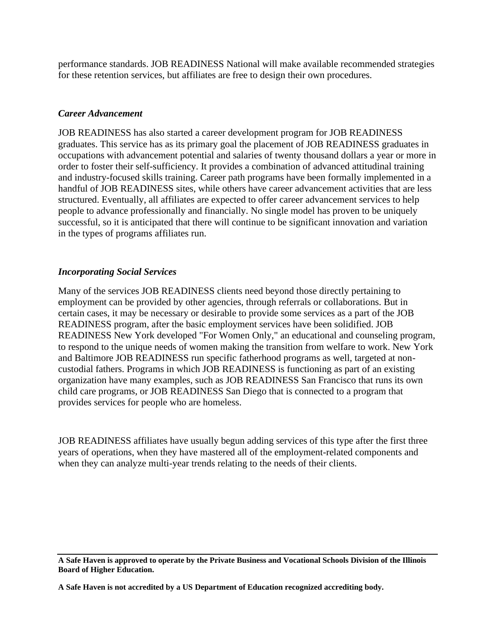performance standards. JOB READINESS National will make available recommended strategies for these retention services, but affiliates are free to design their own procedures.

#### *Career Advancement*

JOB READINESS has also started a career development program for JOB READINESS graduates. This service has as its primary goal the placement of JOB READINESS graduates in occupations with advancement potential and salaries of twenty thousand dollars a year or more in order to foster their self-sufficiency. It provides a combination of advanced attitudinal training and industry-focused skills training. Career path programs have been formally implemented in a handful of JOB READINESS sites, while others have career advancement activities that are less structured. Eventually, all affiliates are expected to offer career advancement services to help people to advance professionally and financially. No single model has proven to be uniquely successful, so it is anticipated that there will continue to be significant innovation and variation in the types of programs affiliates run.

# *Incorporating Social Services*

Many of the services JOB READINESS clients need beyond those directly pertaining to employment can be provided by other agencies, through referrals or collaborations. But in certain cases, it may be necessary or desirable to provide some services as a part of the JOB READINESS program, after the basic employment services have been solidified. JOB READINESS New York developed "For Women Only," an educational and counseling program, to respond to the unique needs of women making the transition from welfare to work. New York and Baltimore JOB READINESS run specific fatherhood programs as well, targeted at noncustodial fathers. Programs in which JOB READINESS is functioning as part of an existing organization have many examples, such as JOB READINESS San Francisco that runs its own child care programs, or JOB READINESS San Diego that is connected to a program that provides services for people who are homeless.

JOB READINESS affiliates have usually begun adding services of this type after the first three years of operations, when they have mastered all of the employment-related components and when they can analyze multi-year trends relating to the needs of their clients.

**A Safe Haven is approved to operate by the Private Business and Vocational Schools Division of the Illinois Board of Higher Education.**

**A Safe Haven is not accredited by a US Department of Education recognized accrediting body.**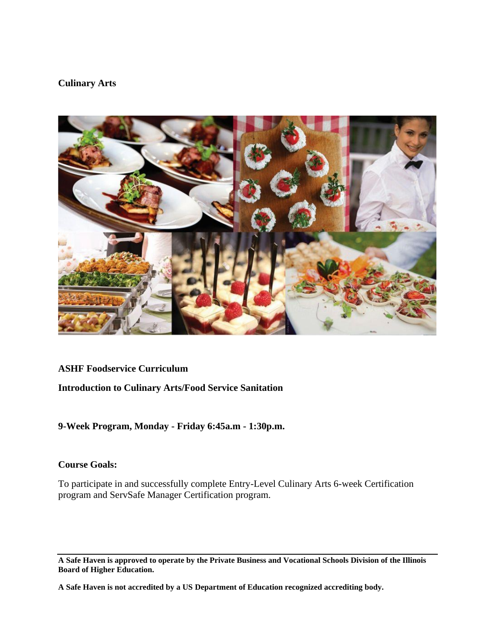#### **Culinary Arts**



#### **ASHF Foodservice Curriculum**

# **Introduction to Culinary Arts/Food Service Sanitation**

# **9-Week Program, Monday - Friday 6:45a.m - 1:30p.m.**

# **Course Goals:**

To participate in and successfully complete Entry-Level Culinary Arts 6-week Certification program and ServSafe Manager Certification program.

**A Safe Haven is approved to operate by the Private Business and Vocational Schools Division of the Illinois Board of Higher Education.**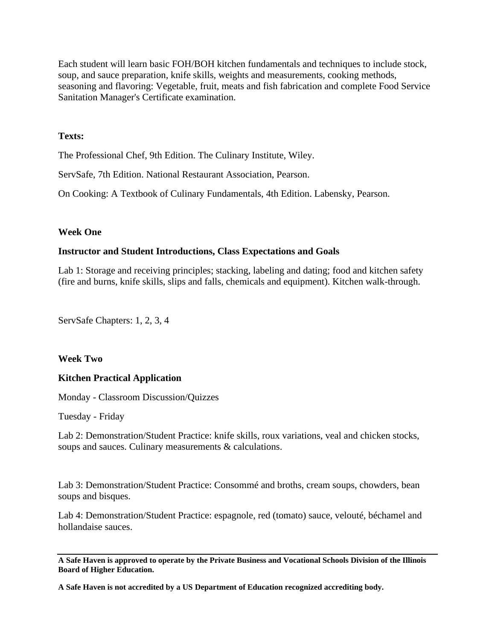Each student will learn basic FOH/BOH kitchen fundamentals and techniques to include stock, soup, and sauce preparation, knife skills, weights and measurements, cooking methods, seasoning and flavoring: Vegetable, fruit, meats and fish fabrication and complete Food Service Sanitation Manager's Certificate examination.

#### **Texts:**

The Professional Chef, 9th Edition. The Culinary Institute, Wiley.

ServSafe, 7th Edition. National Restaurant Association, Pearson.

On Cooking: A Textbook of Culinary Fundamentals, 4th Edition. Labensky, Pearson.

#### **Week One**

#### **Instructor and Student Introductions, Class Expectations and Goals**

Lab 1: Storage and receiving principles; stacking, labeling and dating; food and kitchen safety (fire and burns, knife skills, slips and falls, chemicals and equipment). Kitchen walk-through.

ServSafe Chapters: 1, 2, 3, 4

#### **Week Two**

#### **Kitchen Practical Application**

Monday - Classroom Discussion/Quizzes

Tuesday - Friday

Lab 2: Demonstration/Student Practice: knife skills, roux variations, veal and chicken stocks, soups and sauces. Culinary measurements & calculations.

Lab 3: Demonstration/Student Practice: Consommé and broths, cream soups, chowders, bean soups and bisques.

Lab 4: Demonstration/Student Practice: espagnole, red (tomato) sauce, velouté, béchamel and hollandaise sauces.

**A Safe Haven is approved to operate by the Private Business and Vocational Schools Division of the Illinois Board of Higher Education.**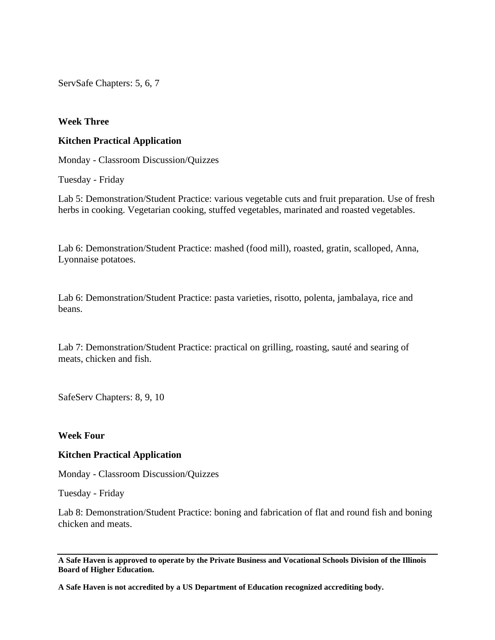ServSafe Chapters: 5, 6, 7

#### **Week Three**

#### **Kitchen Practical Application**

Monday - Classroom Discussion/Quizzes

Tuesday - Friday

Lab 5: Demonstration/Student Practice: various vegetable cuts and fruit preparation. Use of fresh herbs in cooking. Vegetarian cooking, stuffed vegetables, marinated and roasted vegetables.

Lab 6: Demonstration/Student Practice: mashed (food mill), roasted, gratin, scalloped, Anna, Lyonnaise potatoes.

Lab 6: Demonstration/Student Practice: pasta varieties, risotto, polenta, jambalaya, rice and beans.

Lab 7: Demonstration/Student Practice: practical on grilling, roasting, sauté and searing of meats, chicken and fish.

SafeServ Chapters: 8, 9, 10

#### **Week Four**

#### **Kitchen Practical Application**

Monday - Classroom Discussion/Quizzes

Tuesday - Friday

Lab 8: Demonstration/Student Practice: boning and fabrication of flat and round fish and boning chicken and meats.

**A Safe Haven is approved to operate by the Private Business and Vocational Schools Division of the Illinois Board of Higher Education.**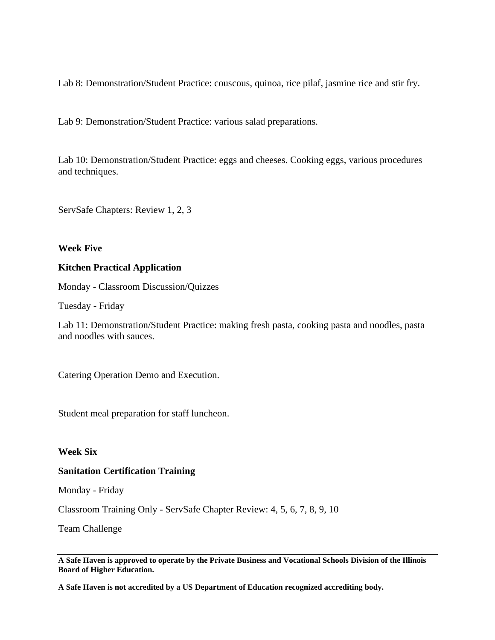Lab 8: Demonstration/Student Practice: couscous, quinoa, rice pilaf, jasmine rice and stir fry.

Lab 9: Demonstration/Student Practice: various salad preparations.

Lab 10: Demonstration/Student Practice: eggs and cheeses. Cooking eggs, various procedures and techniques.

ServSafe Chapters: Review 1, 2, 3

#### **Week Five**

#### **Kitchen Practical Application**

Monday - Classroom Discussion/Quizzes

Tuesday - Friday

Lab 11: Demonstration/Student Practice: making fresh pasta, cooking pasta and noodles, pasta and noodles with sauces.

Catering Operation Demo and Execution.

Student meal preparation for staff luncheon.

#### **Week Six**

#### **Sanitation Certification Training**

Monday - Friday

Classroom Training Only - ServSafe Chapter Review: 4, 5, 6, 7, 8, 9, 10

Team Challenge

**A Safe Haven is approved to operate by the Private Business and Vocational Schools Division of the Illinois Board of Higher Education.**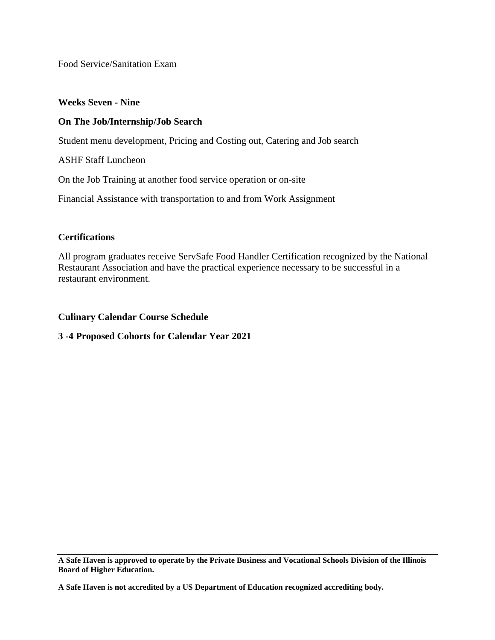Food Service/Sanitation Exam

#### **Weeks Seven - Nine**

# **On The Job/Internship/Job Search**

Student menu development, Pricing and Costing out, Catering and Job search

ASHF Staff Luncheon

On the Job Training at another food service operation or on-site

Financial Assistance with transportation to and from Work Assignment

## **Certifications**

All program graduates receive ServSafe Food Handler Certification recognized by the National Restaurant Association and have the practical experience necessary to be successful in a restaurant environment.

**Culinary Calendar Course Schedule**

**3 -4 Proposed Cohorts for Calendar Year 2021**

**A Safe Haven is approved to operate by the Private Business and Vocational Schools Division of the Illinois Board of Higher Education.**

**A Safe Haven is not accredited by a US Department of Education recognized accrediting body.**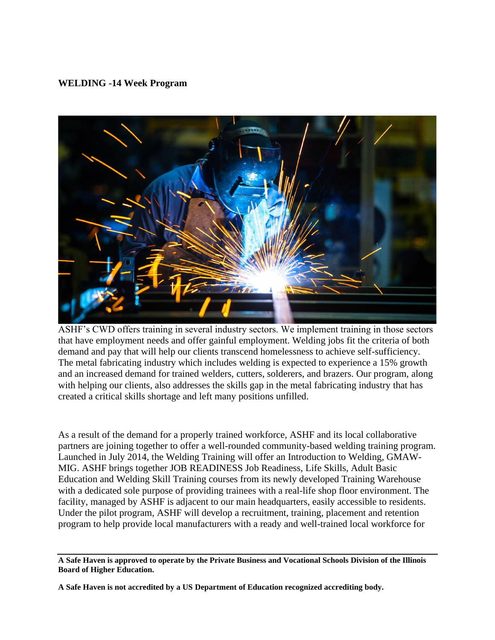## **WELDING -14 Week Program**



ASHF's CWD offers training in several industry sectors. We implement training in those sectors that have employment needs and offer gainful employment. Welding jobs fit the criteria of both demand and pay that will help our clients transcend homelessness to achieve self-sufficiency. The metal fabricating industry which includes welding is expected to experience a 15% growth and an increased demand for trained welders, cutters, solderers, and brazers. Our program, along with helping our clients, also addresses the skills gap in the metal fabricating industry that has created a critical skills shortage and left many positions unfilled.

As a result of the demand for a properly trained workforce, ASHF and its local collaborative partners are joining together to offer a well-rounded community-based welding training program. Launched in July 2014, the Welding Training will offer an Introduction to Welding, GMAW-MIG. ASHF brings together JOB READINESS Job Readiness, Life Skills, Adult Basic Education and Welding Skill Training courses from its newly developed Training Warehouse with a dedicated sole purpose of providing trainees with a real-life shop floor environment. The facility, managed by ASHF is adjacent to our main headquarters, easily accessible to residents. Under the pilot program, ASHF will develop a recruitment, training, placement and retention program to help provide local manufacturers with a ready and well-trained local workforce for

**A Safe Haven is approved to operate by the Private Business and Vocational Schools Division of the Illinois Board of Higher Education.**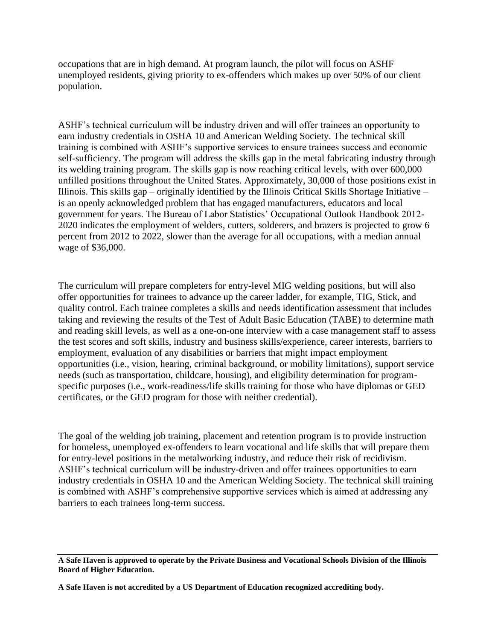occupations that are in high demand. At program launch, the pilot will focus on ASHF unemployed residents, giving priority to ex-offenders which makes up over 50% of our client population.

ASHF's technical curriculum will be industry driven and will offer trainees an opportunity to earn industry credentials in OSHA 10 and American Welding Society. The technical skill training is combined with ASHF's supportive services to ensure trainees success and economic self-sufficiency. The program will address the skills gap in the metal fabricating industry through its welding training program. The skills gap is now reaching critical levels, with over 600,000 unfilled positions throughout the United States. Approximately, 30,000 of those positions exist in Illinois. This skills gap – originally identified by the Illinois Critical Skills Shortage Initiative – is an openly acknowledged problem that has engaged manufacturers, educators and local government for years. The Bureau of Labor Statistics' Occupational Outlook Handbook 2012- 2020 indicates the employment of welders, cutters, solderers, and brazers is projected to grow 6 percent from 2012 to 2022, slower than the average for all occupations, with a median annual wage of \$36,000.

The curriculum will prepare completers for entry-level MIG welding positions, but will also offer opportunities for trainees to advance up the career ladder, for example, TIG, Stick, and quality control. Each trainee completes a skills and needs identification assessment that includes taking and reviewing the results of the Test of Adult Basic Education (TABE) to determine math and reading skill levels, as well as a one-on-one interview with a case management staff to assess the test scores and soft skills, industry and business skills/experience, career interests, barriers to employment, evaluation of any disabilities or barriers that might impact employment opportunities (i.e., vision, hearing, criminal background, or mobility limitations), support service needs (such as transportation, childcare, housing), and eligibility determination for programspecific purposes (i.e., work-readiness/life skills training for those who have diplomas or GED certificates, or the GED program for those with neither credential).

The goal of the welding job training, placement and retention program is to provide instruction for homeless, unemployed ex-offenders to learn vocational and life skills that will prepare them for entry-level positions in the metalworking industry, and reduce their risk of recidivism. ASHF's technical curriculum will be industry-driven and offer trainees opportunities to earn industry credentials in OSHA 10 and the American Welding Society. The technical skill training is combined with ASHF's comprehensive supportive services which is aimed at addressing any barriers to each trainees long-term success.

**A Safe Haven is approved to operate by the Private Business and Vocational Schools Division of the Illinois Board of Higher Education.**

**A Safe Haven is not accredited by a US Department of Education recognized accrediting body.**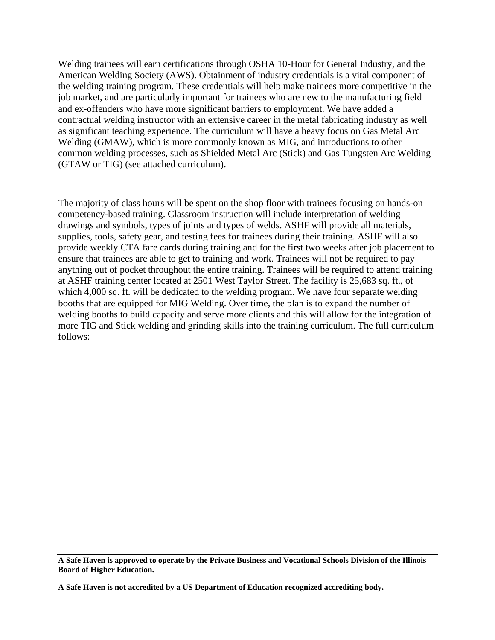Welding trainees will earn certifications through OSHA 10-Hour for General Industry, and the American Welding Society (AWS). Obtainment of industry credentials is a vital component of the welding training program. These credentials will help make trainees more competitive in the job market, and are particularly important for trainees who are new to the manufacturing field and ex-offenders who have more significant barriers to employment. We have added a contractual welding instructor with an extensive career in the metal fabricating industry as well as significant teaching experience. The curriculum will have a heavy focus on Gas Metal Arc Welding (GMAW), which is more commonly known as MIG, and introductions to other common welding processes, such as Shielded Metal Arc (Stick) and Gas Tungsten Arc Welding (GTAW or TIG) (see attached curriculum).

The majority of class hours will be spent on the shop floor with trainees focusing on hands-on competency-based training. Classroom instruction will include interpretation of welding drawings and symbols, types of joints and types of welds. ASHF will provide all materials, supplies, tools, safety gear, and testing fees for trainees during their training. ASHF will also provide weekly CTA fare cards during training and for the first two weeks after job placement to ensure that trainees are able to get to training and work. Trainees will not be required to pay anything out of pocket throughout the entire training. Trainees will be required to attend training at ASHF training center located at 2501 West Taylor Street. The facility is 25,683 sq. ft., of which 4,000 sq. ft. will be dedicated to the welding program. We have four separate welding booths that are equipped for MIG Welding. Over time, the plan is to expand the number of welding booths to build capacity and serve more clients and this will allow for the integration of more TIG and Stick welding and grinding skills into the training curriculum. The full curriculum follows:

**A Safe Haven is approved to operate by the Private Business and Vocational Schools Division of the Illinois Board of Higher Education.**

**A Safe Haven is not accredited by a US Department of Education recognized accrediting body.**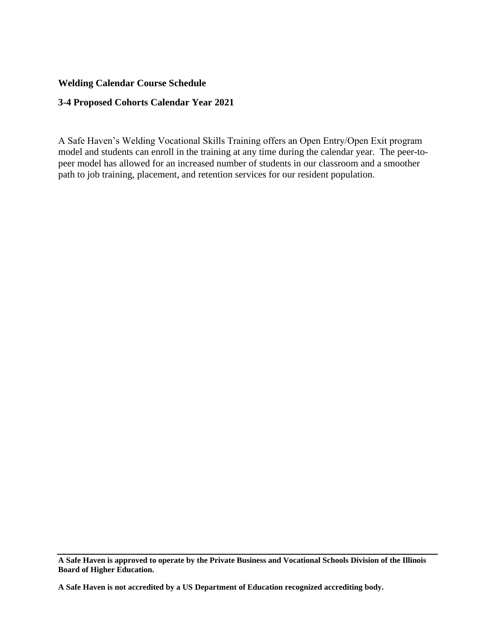## **Welding Calendar Course Schedule**

#### **3-4 Proposed Cohorts Calendar Year 2021**

A Safe Haven's Welding Vocational Skills Training offers an Open Entry/Open Exit program model and students can enroll in the training at any time during the calendar year. The peer-topeer model has allowed for an increased number of students in our classroom and a smoother path to job training, placement, and retention services for our resident population.

**A Safe Haven is approved to operate by the Private Business and Vocational Schools Division of the Illinois Board of Higher Education.**

**A Safe Haven is not accredited by a US Department of Education recognized accrediting body.**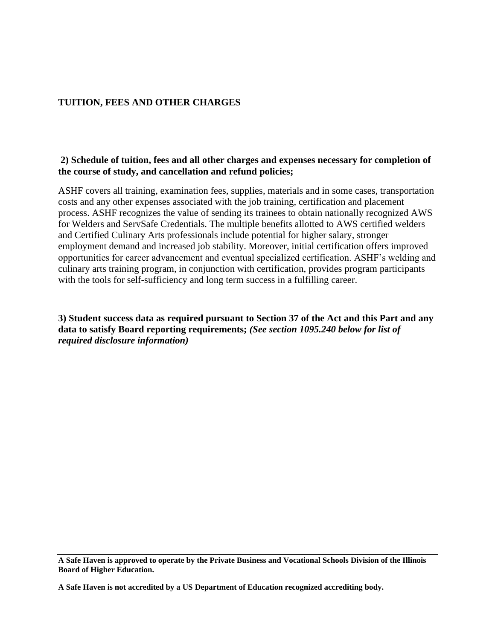# **TUITION, FEES AND OTHER CHARGES**

#### **2) Schedule of tuition, fees and all other charges and expenses necessary for completion of the course of study, and cancellation and refund policies;**

ASHF covers all training, examination fees, supplies, materials and in some cases, transportation costs and any other expenses associated with the job training, certification and placement process. ASHF recognizes the value of sending its trainees to obtain nationally recognized AWS for Welders and ServSafe Credentials. The multiple benefits allotted to AWS certified welders and Certified Culinary Arts professionals include potential for higher salary, stronger employment demand and increased job stability. Moreover, initial certification offers improved opportunities for career advancement and eventual specialized certification. ASHF's welding and culinary arts training program, in conjunction with certification, provides program participants with the tools for self-sufficiency and long term success in a fulfilling career.

**3) Student success data as required pursuant to Section 37 of the Act and this Part and any data to satisfy Board reporting requirements;** *(See section 1095.240 below for list of required disclosure information)* 

**A Safe Haven is approved to operate by the Private Business and Vocational Schools Division of the Illinois Board of Higher Education.**

**A Safe Haven is not accredited by a US Department of Education recognized accrediting body.**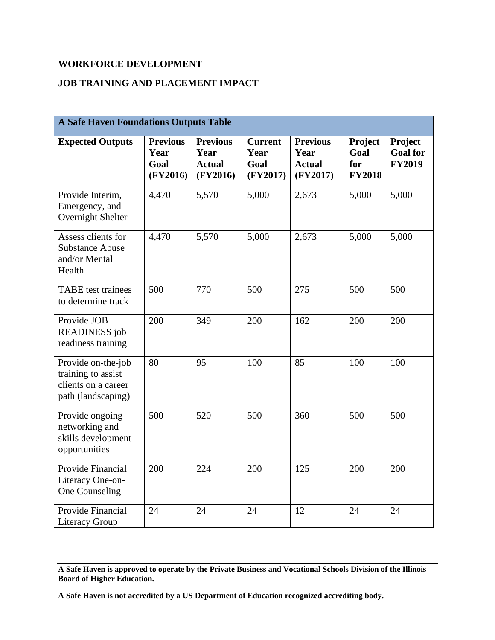# **WORKFORCE DEVELOPMENT**

#### **JOB TRAINING AND PLACEMENT IMPACT**

| <b>A Safe Haven Foundations Outputs Table</b>                                         |                                             |                                                      |                                            |                                                      |                                                |                                             |  |
|---------------------------------------------------------------------------------------|---------------------------------------------|------------------------------------------------------|--------------------------------------------|------------------------------------------------------|------------------------------------------------|---------------------------------------------|--|
| <b>Expected Outputs</b>                                                               | <b>Previous</b><br>Year<br>Goal<br>(FY2016) | <b>Previous</b><br>Year<br><b>Actual</b><br>(FY2016) | <b>Current</b><br>Year<br>Goal<br>(FY2017) | <b>Previous</b><br>Year<br><b>Actual</b><br>(FY2017) | <b>Project</b><br>Goal<br>for<br><b>FY2018</b> | Project<br><b>Goal</b> for<br><b>FY2019</b> |  |
| Provide Interim,<br>Emergency, and<br>Overnight Shelter                               | 4,470                                       | 5,570                                                | 5,000                                      | 2,673                                                | 5,000                                          | 5,000                                       |  |
| Assess clients for<br><b>Substance Abuse</b><br>and/or Mental<br>Health               | 4,470                                       | 5,570                                                | 5,000                                      | 2,673                                                | 5,000                                          | 5,000                                       |  |
| <b>TABE</b> test trainees<br>to determine track                                       | 500                                         | 770                                                  | 500                                        | 275                                                  | 500                                            | 500                                         |  |
| Provide JOB<br><b>READINESS</b> job<br>readiness training                             | 200                                         | 349                                                  | 200                                        | 162                                                  | 200                                            | 200                                         |  |
| Provide on-the-job<br>training to assist<br>clients on a career<br>path (landscaping) | 80                                          | 95                                                   | 100                                        | 85                                                   | 100                                            | 100                                         |  |
| Provide ongoing<br>networking and<br>skills development<br>opportunities              | 500                                         | 520                                                  | 500                                        | 360                                                  | 500                                            | 500                                         |  |
| Provide Financial<br>Literacy One-on-<br>One Counseling                               | 200                                         | 224                                                  | 200                                        | 125                                                  | 200                                            | 200                                         |  |
| Provide Financial<br><b>Literacy Group</b>                                            | 24                                          | 24                                                   | 24                                         | 12                                                   | 24                                             | 24                                          |  |

**A Safe Haven is approved to operate by the Private Business and Vocational Schools Division of the Illinois Board of Higher Education.**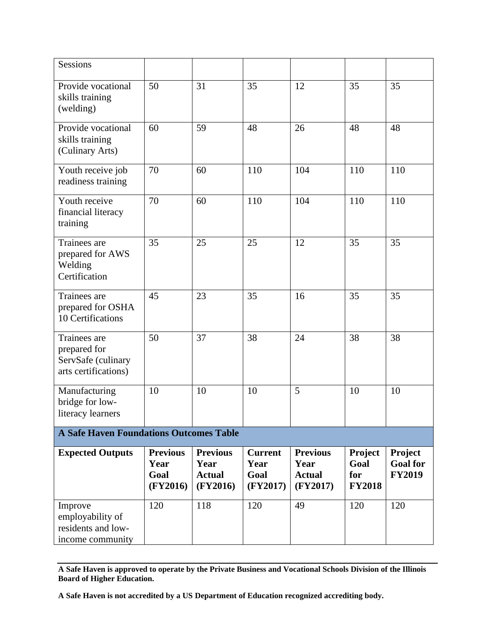| Sessions                                                                   |                                             |                                                      |                                            |                                                      |                                                |                                             |  |
|----------------------------------------------------------------------------|---------------------------------------------|------------------------------------------------------|--------------------------------------------|------------------------------------------------------|------------------------------------------------|---------------------------------------------|--|
| Provide vocational<br>skills training<br>(welding)                         | 50                                          | 31                                                   | 35                                         | 12                                                   | 35                                             | 35                                          |  |
| Provide vocational<br>skills training<br>(Culinary Arts)                   | 60                                          | 59                                                   | 48                                         | 26                                                   | 48                                             | 48                                          |  |
| Youth receive job<br>readiness training                                    | 70                                          | 60                                                   | 110                                        | 104                                                  | 110                                            | 110                                         |  |
| Youth receive<br>financial literacy<br>training                            | 70                                          | 60                                                   | 110                                        | 104                                                  | 110                                            | 110                                         |  |
| Trainees are<br>prepared for AWS<br>Welding<br>Certification               | 35                                          | 25                                                   | 25                                         | 12                                                   | 35                                             | 35                                          |  |
| Trainees are<br>prepared for OSHA<br>10 Certifications                     | 45                                          | 23                                                   | 35                                         | 16                                                   | 35                                             | 35                                          |  |
| Trainees are<br>prepared for<br>ServSafe (culinary<br>arts certifications) | 50                                          | 37                                                   | 38                                         | 24                                                   | 38                                             | 38                                          |  |
| Manufacturing<br>bridge for low-<br>literacy learners                      | 10                                          | 10                                                   | 10                                         | 5                                                    | 10                                             | 10                                          |  |
| <b>A Safe Haven Foundations Outcomes Table</b>                             |                                             |                                                      |                                            |                                                      |                                                |                                             |  |
| <b>Expected Outputs</b>                                                    | <b>Previous</b><br>Year<br>Goal<br>(FY2016) | <b>Previous</b><br>Year<br><b>Actual</b><br>(FY2016) | <b>Current</b><br>Year<br>Goal<br>(FY2017) | <b>Previous</b><br>Year<br><b>Actual</b><br>(FY2017) | <b>Project</b><br>Goal<br>for<br><b>FY2018</b> | Project<br><b>Goal</b> for<br><b>FY2019</b> |  |
| Improve<br>employability of<br>residents and low-<br>income community      | 120                                         | 118                                                  | 120                                        | 49                                                   | 120                                            | 120                                         |  |

**A Safe Haven is approved to operate by the Private Business and Vocational Schools Division of the Illinois Board of Higher Education.**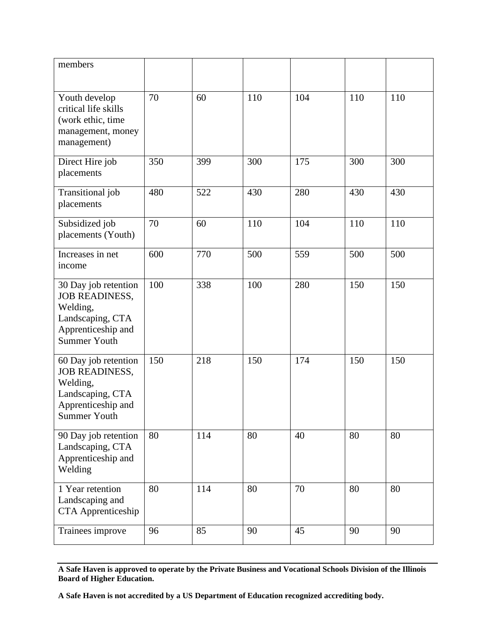| members                                                                                                                    |     |     |     |     |     |     |
|----------------------------------------------------------------------------------------------------------------------------|-----|-----|-----|-----|-----|-----|
| Youth develop<br>critical life skills<br>(work ethic, time<br>management, money<br>management)                             | 70  | 60  | 110 | 104 | 110 | 110 |
| Direct Hire job<br>placements                                                                                              | 350 | 399 | 300 | 175 | 300 | 300 |
| Transitional job<br>placements                                                                                             | 480 | 522 | 430 | 280 | 430 | 430 |
| Subsidized job<br>placements (Youth)                                                                                       | 70  | 60  | 110 | 104 | 110 | 110 |
| Increases in net<br>income                                                                                                 | 600 | 770 | 500 | 559 | 500 | 500 |
| 30 Day job retention<br><b>JOB READINESS,</b><br>Welding,<br>Landscaping, CTA<br>Apprenticeship and<br><b>Summer Youth</b> | 100 | 338 | 100 | 280 | 150 | 150 |
| 60 Day job retention<br><b>JOB READINESS,</b><br>Welding,<br>Landscaping, CTA<br>Apprenticeship and<br><b>Summer Youth</b> | 150 | 218 | 150 | 174 | 150 | 150 |
| 90 Day job retention<br>Landscaping, CTA<br>Apprenticeship and<br>Welding                                                  | 80  | 114 | 80  | 40  | 80  | 80  |
| 1 Year retention<br>Landscaping and<br>CTA Apprenticeship                                                                  | 80  | 114 | 80  | 70  | 80  | 80  |
| Trainees improve                                                                                                           | 96  | 85  | 90  | 45  | 90  | 90  |

**A Safe Haven is approved to operate by the Private Business and Vocational Schools Division of the Illinois Board of Higher Education.**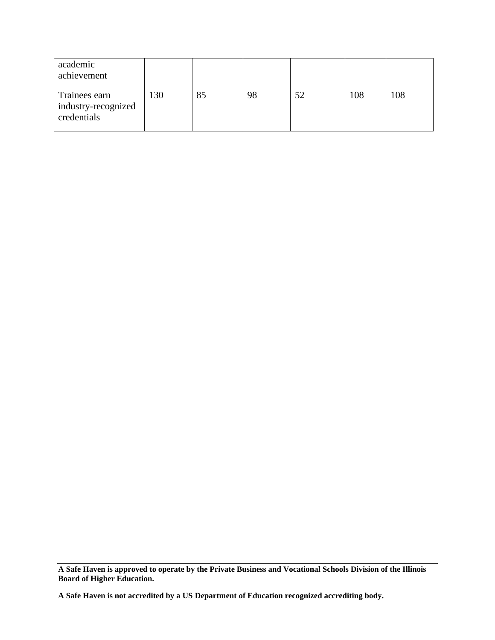| academic<br>achievement                             |     |    |    |    |     |     |
|-----------------------------------------------------|-----|----|----|----|-----|-----|
| Trainees earn<br>industry-recognized<br>credentials | 130 | 85 | 98 | 52 | 108 | 108 |

**A Safe Haven is approved to operate by the Private Business and Vocational Schools Division of the Illinois Board of Higher Education.**

**A Safe Haven is not accredited by a US Department of Education recognized accrediting body.**